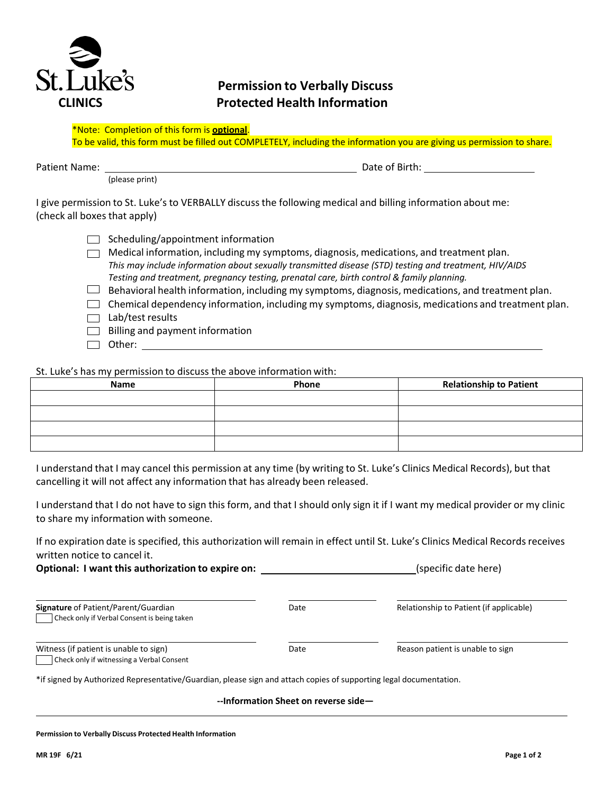

# **Permission to Verbally Discuss CLINICS Protected Health Information**

To be valid, this form must be filled out COMPLETELY, including the information you are giving us permission to share.

Patient Name: Date of Birth:

(please print)

I give permission to St. Luke's to VERBALLY discuss the following medical and billing information about me: (check all boxes that apply)

|  | $\Box$ Scheduling/appointment information |
|--|-------------------------------------------|
|--|-------------------------------------------|

- $\Box$  Medical information, including my symptoms, diagnosis, medications, and treatment plan. *This may include information about sexually transmitted disease (STD) testing and treatment, HIV/AIDS Testing and treatment, pregnancy testing, prenatal care, birth control & family planning.*
- $\Box$  Behavioral health information, including my symptoms, diagnosis, medications, and treatment plan.
- $\Box$  Chemical dependency information, including my symptoms, diagnosis, medications and treatment plan.
- $\Box$  Lab/test results
- $\Box$  Billing and payment information
- $\Box$  Other:  $\Box$

St. Luke's has my permission to discuss the above information with:

| Name | Phone | <b>Relationship to Patient</b> |
|------|-------|--------------------------------|
|      |       |                                |
|      |       |                                |
|      |       |                                |
|      |       |                                |

I understand that I may cancel this permission at any time (by writing to St. Luke's Clinics Medical Records), but that cancelling it will not affect any information that has already been released.

I understand that I do not have to sign this form, and that I should only sign it if I want my medical provider or my clinic to share my information with someone.

If no expiration date is specified, this authorization will remain in effect until St. Luke's Clinics Medical Records receives written notice to cancel it.

**Optional: I want this authorization to expire on: the expire on the expire on the expire on the expire on the expire on the expire on the expire on the expire on the expire on the expire on the expire on the expire on t** 

| Signature of Patient/Parent/Guardian        |  |  |
|---------------------------------------------|--|--|
| Check only if Verbal Consent is being taken |  |  |

| ۰, |
|----|

**Relationship to Patient (if applicable)** 

| Witness (if patient is unable to sign) |  |                                           |
|----------------------------------------|--|-------------------------------------------|
|                                        |  | Check only if witnessing a Verbal Consent |

Date **Date** Reason patient is unable to sign

\*if signed by Authorized Representative/Guardian, please sign and attach copies of supporting legal documentation.

**--Information Sheet on reverse side—**